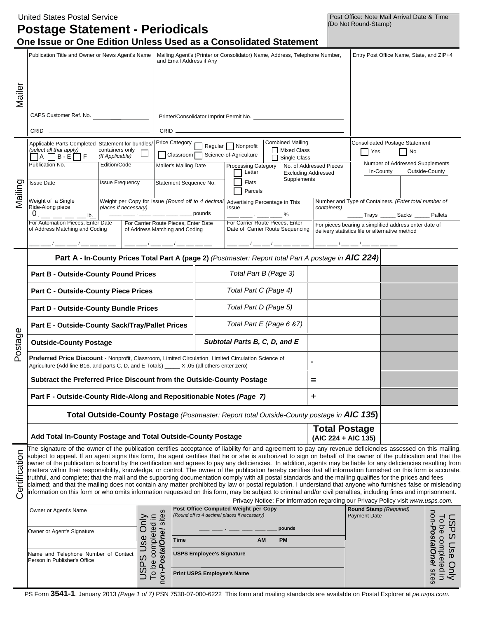|                                | <b>United States Postal Service</b><br><b>Postage Statement - Periodicals</b><br>One Issue or One Edition Unless Used as a Consolidated Statement                                                                                                                                                                                                                                                                                                                                                                                                                                                                                                                                                                                                                                                                                                                                                                                                                                                                                                                                                                                                                                                                                                           |                                                                                           |                                                                        |                                                                                                        |                                                           |                                                                     |                                                            |                                           | (Do Not Round-Stamp)                                               | Post Office: Note Mail Arrival Date & Time     |                                                                                                  |                      |
|--------------------------------|-------------------------------------------------------------------------------------------------------------------------------------------------------------------------------------------------------------------------------------------------------------------------------------------------------------------------------------------------------------------------------------------------------------------------------------------------------------------------------------------------------------------------------------------------------------------------------------------------------------------------------------------------------------------------------------------------------------------------------------------------------------------------------------------------------------------------------------------------------------------------------------------------------------------------------------------------------------------------------------------------------------------------------------------------------------------------------------------------------------------------------------------------------------------------------------------------------------------------------------------------------------|-------------------------------------------------------------------------------------------|------------------------------------------------------------------------|--------------------------------------------------------------------------------------------------------|-----------------------------------------------------------|---------------------------------------------------------------------|------------------------------------------------------------|-------------------------------------------|--------------------------------------------------------------------|------------------------------------------------|--------------------------------------------------------------------------------------------------|----------------------|
|                                | Publication Title and Owner or News Agent's Name                                                                                                                                                                                                                                                                                                                                                                                                                                                                                                                                                                                                                                                                                                                                                                                                                                                                                                                                                                                                                                                                                                                                                                                                            |                                                                                           |                                                                        | Mailing Agent's (Printer or Consolidator) Name, Address, Telephone Number,<br>and Email Address if Any |                                                           |                                                                     |                                                            |                                           | Entry Post Office Name, State, and ZIP+4                           |                                                |                                                                                                  |                      |
| Mailer                         | CAPS Customer Ref. No.<br>CRID                                                                                                                                                                                                                                                                                                                                                                                                                                                                                                                                                                                                                                                                                                                                                                                                                                                                                                                                                                                                                                                                                                                                                                                                                              |                                                                                           |                                                                        | $CRID$ $\_\_$                                                                                          |                                                           |                                                                     |                                                            |                                           |                                                                    |                                                |                                                                                                  |                      |
|                                | Applicable Parts Completed Statement for bundles/<br>(select all that apply)<br>containers only<br>(If Applicable)<br>$\Box$ a $\Box$ b-e $\Box$ f                                                                                                                                                                                                                                                                                                                                                                                                                                                                                                                                                                                                                                                                                                                                                                                                                                                                                                                                                                                                                                                                                                          |                                                                                           | Price Category                                                         |                                                                                                        | Regular Nonprofit<br>  Classroom   Science-of-Agriculture |                                                                     | <b>Combined Mailing</b><br>    Mixed Class<br>Single Class |                                           | Yes                                                                | <b>Consolidated Postage Statement</b><br>  No  |                                                                                                  |                      |
| Mailing                        | Publication No.<br><b>Issue Date</b>                                                                                                                                                                                                                                                                                                                                                                                                                                                                                                                                                                                                                                                                                                                                                                                                                                                                                                                                                                                                                                                                                                                                                                                                                        | Edition/Code<br><b>Issue Frequency</b>                                                    |                                                                        | Mailer's Mailing Date<br>Statement Sequence No.                                                        |                                                           | <b>Processing Category</b><br>Letter<br>Flats<br>Parcels            |                                                            | <b>Excluding Addressed</b><br>Supplements | No. of Addressed Pieces                                            | In-County                                      | Number of Addressed Supplements                                                                  | Outside-County       |
|                                | Weight of a Single<br>Ride-Along piece<br>$\frac{1}{2}$ $\frac{1}{2}$ $\frac{1}{2}$ $\frac{1}{2}$ $\frac{1}{2}$ $\frac{1}{2}$ $\frac{1}{2}$ $\frac{1}{2}$ $\frac{1}{2}$ $\frac{1}{2}$<br>0                                                                                                                                                                                                                                                                                                                                                                                                                                                                                                                                                                                                                                                                                                                                                                                                                                                                                                                                                                                                                                                                  | Weight per Copy for Issue (Round off to 4 decimal<br>places if necessary)                 |                                                                        |                                                                                                        | pounds                                                    | Advertising Percentage in This<br>Issue                             |                                                            | %                                         | containers)                                                        |                                                | Number and Type of Containers. (Enter total number of<br>______ Trays ______ Sacks _____ Pallets |                      |
|                                | For Automation Pieces, Enter Date<br>of Address Matching and Coding                                                                                                                                                                                                                                                                                                                                                                                                                                                                                                                                                                                                                                                                                                                                                                                                                                                                                                                                                                                                                                                                                                                                                                                         |                                                                                           | For Carrier Route Pieces, Enter Date<br>of Address Matching and Coding |                                                                                                        |                                                           | For Carrier Route Pieces, Enter<br>Date of Carrier Route Sequencing |                                                            |                                           |                                                                    | delivery statistics file or alternative method | For pieces bearing a simplified address enter date of                                            |                      |
|                                | Part A - In-County Prices Total Part A (page 2) (Postmaster: Report total Part A postage in AIC 224)<br><b>Part B - Outside-County Pound Prices</b>                                                                                                                                                                                                                                                                                                                                                                                                                                                                                                                                                                                                                                                                                                                                                                                                                                                                                                                                                                                                                                                                                                         |                                                                                           |                                                                        |                                                                                                        |                                                           | Total Part B (Page 3)                                               |                                                            |                                           |                                                                    |                                                |                                                                                                  |                      |
|                                | <b>Part C - Outside-County Piece Prices</b>                                                                                                                                                                                                                                                                                                                                                                                                                                                                                                                                                                                                                                                                                                                                                                                                                                                                                                                                                                                                                                                                                                                                                                                                                 |                                                                                           |                                                                        |                                                                                                        |                                                           | Total Part C (Page 4)                                               |                                                            |                                           |                                                                    |                                                |                                                                                                  |                      |
|                                | <b>Part D - Outside-County Bundle Prices</b>                                                                                                                                                                                                                                                                                                                                                                                                                                                                                                                                                                                                                                                                                                                                                                                                                                                                                                                                                                                                                                                                                                                                                                                                                |                                                                                           |                                                                        |                                                                                                        |                                                           | Total Part D (Page 5)                                               |                                                            |                                           |                                                                    |                                                |                                                                                                  |                      |
| Φ                              | Part E - Outside-County Sack/Tray/Pallet Prices                                                                                                                                                                                                                                                                                                                                                                                                                                                                                                                                                                                                                                                                                                                                                                                                                                                                                                                                                                                                                                                                                                                                                                                                             |                                                                                           |                                                                        |                                                                                                        |                                                           | Total Part E (Page 6 & 7)                                           |                                                            |                                           |                                                                    |                                                |                                                                                                  |                      |
| Postage                        | <b>Outside-County Postage</b>                                                                                                                                                                                                                                                                                                                                                                                                                                                                                                                                                                                                                                                                                                                                                                                                                                                                                                                                                                                                                                                                                                                                                                                                                               |                                                                                           |                                                                        |                                                                                                        |                                                           | Subtotal Parts B, C, D, and E                                       |                                                            |                                           |                                                                    |                                                |                                                                                                  |                      |
|                                | Preferred Price Discount - Nonprofit, Classroom, Limited Circulation, Limited Circulation Science of<br>Agriculture (Add line B16, and parts C, D, and E Totals) _____ X .05 (all others enter zero)                                                                                                                                                                                                                                                                                                                                                                                                                                                                                                                                                                                                                                                                                                                                                                                                                                                                                                                                                                                                                                                        |                                                                                           |                                                                        |                                                                                                        |                                                           |                                                                     |                                                            |                                           |                                                                    |                                                |                                                                                                  |                      |
|                                |                                                                                                                                                                                                                                                                                                                                                                                                                                                                                                                                                                                                                                                                                                                                                                                                                                                                                                                                                                                                                                                                                                                                                                                                                                                             |                                                                                           |                                                                        | Subtract the Preferred Price Discount from the Outside-County Postage<br>Ξ                             |                                                           |                                                                     |                                                            |                                           |                                                                    |                                                |                                                                                                  |                      |
|                                | Part F - Outside-County Ride-Along and Repositionable Notes (Page 7)                                                                                                                                                                                                                                                                                                                                                                                                                                                                                                                                                                                                                                                                                                                                                                                                                                                                                                                                                                                                                                                                                                                                                                                        |                                                                                           |                                                                        |                                                                                                        |                                                           |                                                                     |                                                            |                                           | +                                                                  |                                                |                                                                                                  |                      |
|                                |                                                                                                                                                                                                                                                                                                                                                                                                                                                                                                                                                                                                                                                                                                                                                                                                                                                                                                                                                                                                                                                                                                                                                                                                                                                             | Total Outside-County Postage (Postmaster: Report total Outside-County postage in AIC 135) |                                                                        |                                                                                                        |                                                           |                                                                     |                                                            |                                           |                                                                    |                                                |                                                                                                  |                      |
|                                | Add Total In-County Postage and Total Outside-County Postage                                                                                                                                                                                                                                                                                                                                                                                                                                                                                                                                                                                                                                                                                                                                                                                                                                                                                                                                                                                                                                                                                                                                                                                                |                                                                                           |                                                                        |                                                                                                        |                                                           |                                                                     |                                                            |                                           | <b>Total Postage</b><br>(AIC 224 + AIC 135)                        |                                                |                                                                                                  |                      |
| Certification                  | The signature of the owner of the publication certifies acceptance of liability for and agreement to pay any revenue deficiencies assessed on this mailing,<br>subject to appeal. If an agent signs this form, the agent certifies that he or she is authorized to sign on behalf of the owner of the publication and that the<br>owner of the publication is bound by the certification and agrees to pay any deficiencies. In addition, agents may be liable for any deficiencies resulting from<br>matters within their responsibility, knowledge, or control. The owner of the publication hereby certifies that all information furnished on this form is accurate,<br>truthful, and complete; that the mail and the supporting documentation comply with all postal standards and the mailing qualifies for the prices and fees<br>claimed; and that the mailing does not contain any matter prohibited by law or postal regulation. I understand that anyone who furnishes false or misleading<br>information on this form or who omits information requested on this form, may be subject to criminal and/or civil penalties, including fines and imprisonment.<br>Privacy Notice: For information regarding our Privacy Policy visit www.usps.com. |                                                                                           |                                                                        |                                                                                                        |                                                           |                                                                     |                                                            |                                           |                                                                    |                                                |                                                                                                  |                      |
|                                | Post Office Computed Weight per Copy<br>Owner or Agent's Name<br>(Round off to 4 decimal places if necessary)                                                                                                                                                                                                                                                                                                                                                                                                                                                                                                                                                                                                                                                                                                                                                                                                                                                                                                                                                                                                                                                                                                                                               |                                                                                           |                                                                        |                                                                                                        |                                                           | Round Stamp (Required)<br><b>Payment Date</b>                       |                                                            | $\overline{c}$                            |                                                                    |                                                |                                                                                                  |                      |
|                                | Only<br>Owner or Agent's Signature                                                                                                                                                                                                                                                                                                                                                                                                                                                                                                                                                                                                                                                                                                                                                                                                                                                                                                                                                                                                                                                                                                                                                                                                                          |                                                                                           |                                                                        |                                                                                                        |                                                           |                                                                     |                                                            | pounds                                    |                                                                    |                                                |                                                                                                  | $\overline{0}$<br>9d |
| Use<br>Time<br><b>PM</b><br>AM |                                                                                                                                                                                                                                                                                                                                                                                                                                                                                                                                                                                                                                                                                                                                                                                                                                                                                                                                                                                                                                                                                                                                                                                                                                                             |                                                                                           |                                                                        |                                                                                                        |                                                           |                                                                     |                                                            |                                           |                                                                    |                                                |                                                                                                  |                      |
|                                | non- <b>PostalOne!</b> sites<br>To be completed in<br><b>USPS Employee's Signature</b><br>Name and Telephone Number of Contact<br>$\dot{\Omega}$<br>Person in Publisher's Office<br>USP:<br><b>Print USPS Employee's Name</b>                                                                                                                                                                                                                                                                                                                                                                                                                                                                                                                                                                                                                                                                                                                                                                                                                                                                                                                                                                                                                               |                                                                                           |                                                                        |                                                                                                        |                                                           |                                                                     |                                                            |                                           | non- <b>Posta/One!</b> sites<br><b>PS Use Only</b><br>completed in |                                                |                                                                                                  |                      |

PS Form **3541-1**, January 2013 *(Page 1 of 7)* PSN 7530-07-000-6222 This form and mailing standards are available on Postal Explorer at *pe.usps.com.*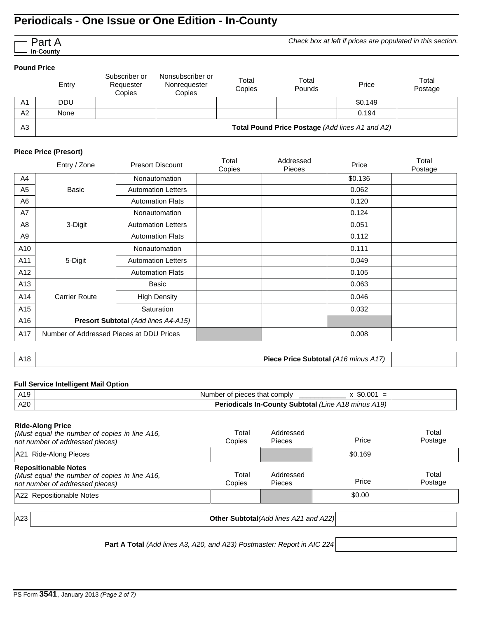*Check box at left if prices are populated in this section.*

#### **Pound Price**

Part A **In-County**

|                | Entry                                           | Subscriber or<br>Requester<br>Copies | Nonsubscriber or<br>Nonrequester<br>Copies | Total<br>Copies | Total<br>Pounds | Price   | Total<br>Postage |  |
|----------------|-------------------------------------------------|--------------------------------------|--------------------------------------------|-----------------|-----------------|---------|------------------|--|
| A <sub>1</sub> | <b>DDU</b>                                      |                                      |                                            |                 |                 | \$0.149 |                  |  |
| A2             | None                                            |                                      |                                            |                 |                 | 0.194   |                  |  |
| A <sub>3</sub> | Total Pound Price Postage (Add lines A1 and A2) |                                      |                                            |                 |                 |         |                  |  |

### **Piece Price (Presort)**

|                | Entry / Zone                             | <b>Presort Discount</b>   | Total<br>Copies | Addressed<br><b>Pieces</b> | Price   | Total<br>Postage |
|----------------|------------------------------------------|---------------------------|-----------------|----------------------------|---------|------------------|
| A4             |                                          | <b>Nonautomation</b>      |                 |                            | \$0.136 |                  |
| A <sub>5</sub> | Basic                                    | <b>Automation Letters</b> |                 |                            | 0.062   |                  |
| A6             |                                          | <b>Automation Flats</b>   |                 |                            | 0.120   |                  |
| A7             |                                          | <b>Nonautomation</b>      |                 |                            | 0.124   |                  |
| A8             | 3-Digit                                  | <b>Automation Letters</b> |                 |                            | 0.051   |                  |
| A9             |                                          | <b>Automation Flats</b>   |                 |                            | 0.112   |                  |
| A10            |                                          | <b>Nonautomation</b>      |                 |                            | 0.111   |                  |
| A11            | 5-Digit                                  | <b>Automation Letters</b> |                 |                            | 0.049   |                  |
| A12            |                                          | <b>Automation Flats</b>   |                 |                            | 0.105   |                  |
| A13            |                                          | Basic                     |                 |                            | 0.063   |                  |
| A14            | <b>Carrier Route</b>                     | <b>High Density</b>       |                 |                            | 0.046   |                  |
| A15            |                                          | Saturation                |                 |                            | 0.032   |                  |
| A16            | Presort Subtotal (Add lines A4-A15)      |                           |                 |                            |         |                  |
| A17            | Number of Addressed Pieces at DDU Prices |                           |                 |                            | 0.008   |                  |

A18 **Piece Price Subtotal** *(A16 minus A17)*

### **Full Service Intelligent Mail Option**

| A19 | \$0.001<br>Number of pieces that comply<br>$=$             |  |
|-----|------------------------------------------------------------|--|
| A20 | <b>Periodicals In-County Subtotal (Line A18 minus A19)</b> |  |
|     |                                                            |  |

### **Ride-Along Price**

|     | (Must equal the number of copies in line A16,<br>not number of addressed pieces)                                | Total<br>Copies | Addressed<br><b>Pieces</b>                    | Price   | Total<br>Postage |
|-----|-----------------------------------------------------------------------------------------------------------------|-----------------|-----------------------------------------------|---------|------------------|
|     | A21 Ride-Along Pieces                                                                                           |                 |                                               | \$0.169 |                  |
|     | <b>Repositionable Notes</b><br>(Must equal the number of copies in line A16,<br>not number of addressed pieces) | Total<br>Copies | Addressed<br><b>Pieces</b>                    | Price   | Total<br>Postage |
|     | A22 Repositionable Notes                                                                                        |                 |                                               | \$0.00  |                  |
| A23 |                                                                                                                 |                 | <b>Other Subtotal</b> (Add lines A21 and A22) |         |                  |

**Part A Total** *(Add lines A3, A20, and A23) Postmaster: Report in AIC 224*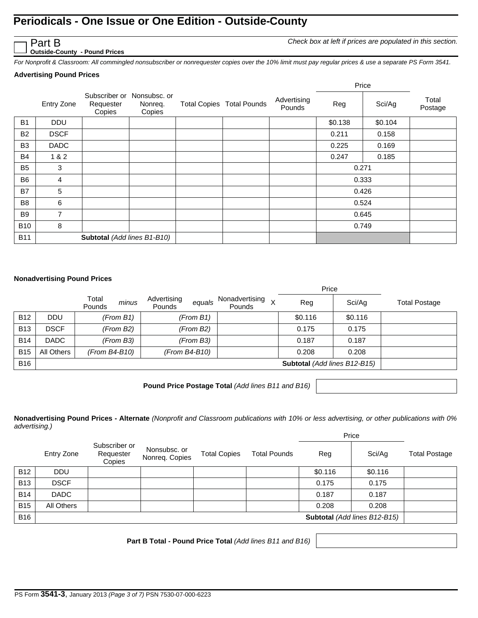*Check box at left if prices are populated in this section.*

**Outside-County - Pound Prices**

*For Nonprofit & Classroom: All commingled nonsubscriber or nonrequester copies over the 10% limit must pay regular prices & use a separate PS Form 3541.*

### **Advertising Pound Prices**

Part B

|                |             |                                                   |                   |                                  |                       |         | Price   |                  |
|----------------|-------------|---------------------------------------------------|-------------------|----------------------------------|-----------------------|---------|---------|------------------|
|                | Entry Zone  | Subscriber or Nonsubsc. or<br>Requester<br>Copies | Nonreq.<br>Copies | <b>Total Copies Total Pounds</b> | Advertising<br>Pounds | Reg     | Sci/Ag  | Total<br>Postage |
| <b>B1</b>      | <b>DDU</b>  |                                                   |                   |                                  |                       | \$0.138 | \$0.104 |                  |
| <b>B2</b>      | <b>DSCF</b> |                                                   |                   |                                  |                       | 0.211   | 0.158   |                  |
| B <sub>3</sub> | <b>DADC</b> |                                                   |                   |                                  |                       | 0.225   | 0.169   |                  |
| <b>B4</b>      | 1 & 2       |                                                   |                   |                                  |                       | 0.247   | 0.185   |                  |
| <b>B5</b>      | 3           |                                                   |                   |                                  |                       | 0.271   |         |                  |
| B <sub>6</sub> | 4           |                                                   |                   |                                  |                       |         | 0.333   |                  |
| B7             | 5           |                                                   |                   |                                  |                       |         | 0.426   |                  |
| B <sub>8</sub> | 6           |                                                   |                   |                                  |                       |         | 0.524   |                  |
| B <sub>9</sub> | 7           |                                                   |                   |                                  |                       |         | 0.645   |                  |
| <b>B10</b>     | 8           |                                                   |                   |                                  |                       |         | 0.749   |                  |
| <b>B11</b>     |             | Subtotal (Add lines B1-B10)                       |                   |                                  |                       |         |         |                  |

#### **Nonadvertising Pound Prices**

|            |             |                          |                                 |                          | Price                               |         |                      |
|------------|-------------|--------------------------|---------------------------------|--------------------------|-------------------------------------|---------|----------------------|
|            |             | Total<br>minus<br>Pounds | Advertising<br>equals<br>Pounds | Nonadvertising<br>Pounds | Reg                                 | Sci/Ag  | <b>Total Postage</b> |
| <b>B12</b> | <b>DDU</b>  | (From B1)                | (From B1)                       |                          | \$0.116                             | \$0.116 |                      |
| <b>B13</b> | <b>DSCF</b> | (From B2)                | (From B2)                       |                          | 0.175                               | 0.175   |                      |
| <b>B14</b> | <b>DADC</b> | (From B3)                | (From B3)                       |                          | 0.187                               | 0.187   |                      |
| <b>B15</b> | All Others  | (From B4-B10)            | (From B4-B10)                   |                          | 0.208                               | 0.208   |                      |
| <b>B16</b> |             |                          |                                 |                          | <b>Subtotal</b> (Add lines B12-B15) |         |                      |

**Pound Price Postage Total** *(Add lines B11 and B16)*

**Nonadvertising Pound Prices - Alternate** *(Nonprofit and Classroom publications with 10% or less advertising, or other publications with 0% advertising.)*

|            |             |                                      |                                |                     |                     |         | Price                        |                      |  |
|------------|-------------|--------------------------------------|--------------------------------|---------------------|---------------------|---------|------------------------------|----------------------|--|
|            | Entry Zone  | Subscriber or<br>Requester<br>Copies | Nonsubsc. or<br>Nonreq. Copies | <b>Total Copies</b> | <b>Total Pounds</b> | Reg     | Sci/Aq                       | <b>Total Postage</b> |  |
| <b>B12</b> | <b>DDU</b>  |                                      |                                |                     |                     | \$0.116 | \$0.116                      |                      |  |
| <b>B13</b> | <b>DSCF</b> |                                      |                                |                     |                     | 0.175   | 0.175                        |                      |  |
| <b>B14</b> | <b>DADC</b> |                                      |                                |                     |                     | 0.187   | 0.187                        |                      |  |
| <b>B15</b> | All Others  |                                      |                                |                     |                     | 0.208   | 0.208                        |                      |  |
| <b>B16</b> |             |                                      |                                |                     |                     |         | Subtotal (Add lines B12-B15) |                      |  |

**Part B Total - Pound Price Total** *(Add lines B11 and B16)*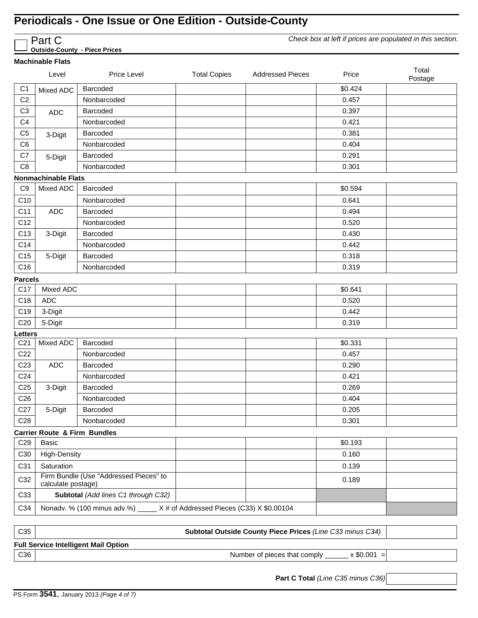|                   | Check box at left if prices are populated in this section.<br>Part C<br><b>Outside-County - Piece Prices</b> |                                                                             |                     |                         |         |                  |  |  |  |
|-------------------|--------------------------------------------------------------------------------------------------------------|-----------------------------------------------------------------------------|---------------------|-------------------------|---------|------------------|--|--|--|
|                   | <b>Machinable Flats</b>                                                                                      |                                                                             |                     |                         |         |                  |  |  |  |
|                   | Level                                                                                                        | Price Level                                                                 | <b>Total Copies</b> | <b>Addressed Pieces</b> | Price   | Total<br>Postage |  |  |  |
| C <sub>1</sub>    | Mixed ADC                                                                                                    | Barcoded                                                                    |                     |                         | \$0.424 |                  |  |  |  |
| C <sub>2</sub>    |                                                                                                              | Nonbarcoded                                                                 |                     |                         | 0.457   |                  |  |  |  |
| C <sub>3</sub>    | <b>ADC</b>                                                                                                   | Barcoded                                                                    |                     |                         | 0.397   |                  |  |  |  |
| C <sub>4</sub>    |                                                                                                              | Nonbarcoded                                                                 |                     |                         | 0.421   |                  |  |  |  |
| C <sub>5</sub>    | 3-Digit                                                                                                      | Barcoded                                                                    |                     |                         | 0.381   |                  |  |  |  |
| C <sub>6</sub>    |                                                                                                              | Nonbarcoded                                                                 |                     |                         | 0.404   |                  |  |  |  |
| C7                | 5-Digit                                                                                                      | Barcoded                                                                    |                     |                         | 0.291   |                  |  |  |  |
| C <sub>8</sub>    |                                                                                                              | Nonbarcoded                                                                 |                     |                         | 0.301   |                  |  |  |  |
|                   | <b>Nonmachinable Flats</b>                                                                                   |                                                                             |                     |                         |         |                  |  |  |  |
| C <sub>9</sub>    | Mixed ADC                                                                                                    | Barcoded                                                                    |                     |                         | \$0.594 |                  |  |  |  |
| C10               |                                                                                                              | Nonbarcoded                                                                 |                     |                         | 0.641   |                  |  |  |  |
| C11               | <b>ADC</b>                                                                                                   | Barcoded                                                                    |                     |                         | 0.494   |                  |  |  |  |
| C12               |                                                                                                              | Nonbarcoded                                                                 |                     |                         | 0.520   |                  |  |  |  |
| C13               | 3-Digit                                                                                                      | Barcoded                                                                    |                     |                         | 0.430   |                  |  |  |  |
| C14               |                                                                                                              | Nonbarcoded                                                                 |                     |                         | 0.442   |                  |  |  |  |
| C <sub>15</sub>   | 5-Digit                                                                                                      | Barcoded                                                                    |                     |                         | 0.318   |                  |  |  |  |
| C16               |                                                                                                              | Nonbarcoded                                                                 |                     |                         | 0.319   |                  |  |  |  |
| <b>Parcels</b>    |                                                                                                              |                                                                             |                     |                         |         |                  |  |  |  |
| C17               | Mixed ADC                                                                                                    |                                                                             |                     |                         | \$0.641 |                  |  |  |  |
| C18               | <b>ADC</b>                                                                                                   |                                                                             |                     |                         | 0.520   |                  |  |  |  |
| C <sub>19</sub>   | 3-Digit                                                                                                      |                                                                             |                     |                         | 0.442   |                  |  |  |  |
| C <sub>20</sub>   | 5-Digit                                                                                                      |                                                                             |                     |                         | 0.319   |                  |  |  |  |
| Letters           |                                                                                                              |                                                                             |                     |                         |         |                  |  |  |  |
| C <sub>21</sub>   | Mixed ADC                                                                                                    | Barcoded                                                                    |                     |                         | \$0.331 |                  |  |  |  |
| C <sub>22</sub>   |                                                                                                              | Nonbarcoded                                                                 |                     |                         | 0.457   |                  |  |  |  |
| C <sub>23</sub>   | <b>ADC</b>                                                                                                   | Barcoded                                                                    |                     |                         | 0.290   |                  |  |  |  |
| C <sub>24</sub>   |                                                                                                              | Nonbarcoded                                                                 |                     |                         | 0.421   |                  |  |  |  |
| C <sub>25</sub>   | 3-Digit                                                                                                      | Barcoded                                                                    |                     |                         | 0.269   |                  |  |  |  |
| C <sub>26</sub>   |                                                                                                              | Nonbarcoded                                                                 |                     |                         | 0.404   |                  |  |  |  |
| C27               | 5-Digit                                                                                                      | Barcoded                                                                    |                     |                         | 0.205   |                  |  |  |  |
| C <sub>28</sub>   |                                                                                                              | Nonbarcoded                                                                 |                     |                         | 0.301   |                  |  |  |  |
|                   | <b>Carrier Route &amp; Firm Bundles</b>                                                                      |                                                                             |                     |                         |         |                  |  |  |  |
| C <sub>29</sub>   | <b>Basic</b>                                                                                                 |                                                                             |                     |                         | \$0.193 |                  |  |  |  |
| C30               | <b>High-Density</b>                                                                                          |                                                                             |                     |                         | 0.160   |                  |  |  |  |
| C31<br>Saturation |                                                                                                              |                                                                             |                     |                         | 0.139   |                  |  |  |  |
| C32               | calculate postage)                                                                                           | Firm Bundle (Use "Addressed Pieces" to                                      |                     |                         | 0.189   |                  |  |  |  |
| C33               |                                                                                                              | Subtotal (Add lines C1 through C32)                                         |                     |                         |         |                  |  |  |  |
| C34               |                                                                                                              | Nonadv. % (100 minus adv.%) _____ X # of Addressed Pieces (C33) X \$0.00104 |                     |                         |         |                  |  |  |  |

C35 **Subtotal Outside County Piece Prices** *(Line C33 minus C34)* **Full Service Intelligent Mail Option** C36 Number of pieces that comply \_\_\_\_\_\_ x \$0.001 =

**Part C Total** *(Line C35 minus C36)*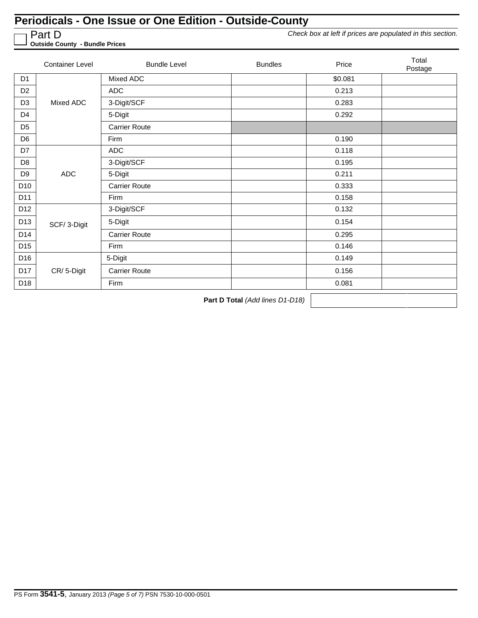Part D

*Check box at left if prices are populated in this section.*

**Outside County - Bundle Prices**

|                 | <b>Container Level</b> | <b>Bundle Level</b>  | <b>Bundles</b> | Price   | Total<br>Postage |
|-----------------|------------------------|----------------------|----------------|---------|------------------|
| D <sub>1</sub>  |                        | Mixed ADC            |                | \$0.081 |                  |
| D <sub>2</sub>  |                        | <b>ADC</b>           |                | 0.213   |                  |
| D <sub>3</sub>  | Mixed ADC              | 3-Digit/SCF          |                | 0.283   |                  |
| D <sub>4</sub>  |                        | 5-Digit              |                | 0.292   |                  |
| D <sub>5</sub>  |                        | <b>Carrier Route</b> |                |         |                  |
| D <sub>6</sub>  |                        | Firm                 |                | 0.190   |                  |
| D7              |                        | <b>ADC</b>           |                | 0.118   |                  |
| D <sub>8</sub>  |                        | 3-Digit/SCF          |                | 0.195   |                  |
| D <sub>9</sub>  | <b>ADC</b>             | 5-Digit              |                | 0.211   |                  |
| D <sub>10</sub> |                        | <b>Carrier Route</b> |                | 0.333   |                  |
| D11             |                        | Firm                 |                | 0.158   |                  |
| D12             |                        | 3-Digit/SCF          |                | 0.132   |                  |
| D13             | SCF/3-Digit            | 5-Digit              |                | 0.154   |                  |
| D14             |                        | <b>Carrier Route</b> |                | 0.295   |                  |
| D <sub>15</sub> |                        | Firm                 |                | 0.146   |                  |
| D16             |                        | 5-Digit              |                | 0.149   |                  |
| D17             | CR/5-Digit             | <b>Carrier Route</b> |                | 0.156   |                  |
| D <sub>18</sub> |                        | Firm                 |                | 0.081   |                  |

**Part D Total** *(Add lines D1-D18)*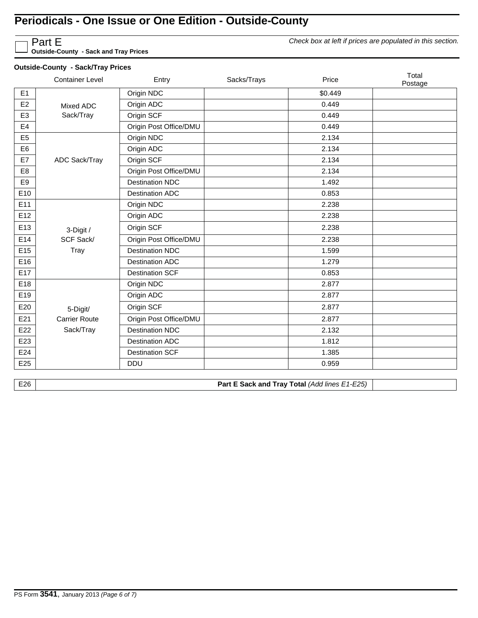*Check box at left if prices are populated in this section.*

Part E **Outside-County - Sack and Tray Prices**

### **Outside-County - Sack/Tray Prices**

| E1<br>Origin NDC<br>\$0.449<br>Origin ADC<br>E <sub>2</sub><br>0.449<br>Mixed ADC<br>Sack/Tray<br>Origin SCF<br>E <sub>3</sub><br>0.449<br>E4<br>Origin Post Office/DMU<br>0.449<br>E <sub>5</sub><br>Origin NDC<br>2.134<br>E <sub>6</sub><br>Origin ADC<br>2.134<br>Origin SCF<br>2.134<br>E7<br>ADC Sack/Tray<br>Origin Post Office/DMU<br>E <sub>8</sub><br>2.134<br>E9<br><b>Destination NDC</b><br>1.492<br>E10<br><b>Destination ADC</b><br>0.853<br>E11<br>Origin NDC<br>2.238<br>E12<br>Origin ADC<br>2.238<br>E13<br>Origin SCF<br>2.238<br>3-Digit /<br>SCF Sack/<br>E14<br>Origin Post Office/DMU<br>2.238<br>Tray<br>E15<br><b>Destination NDC</b><br>1.599<br>E16<br><b>Destination ADC</b><br>1.279<br>E17<br><b>Destination SCF</b><br>0.853<br>E18<br>Origin NDC<br>2.877<br>E19<br>Origin ADC<br>2.877<br>E20<br>Origin SCF<br>2.877<br>5-Digit/<br>E21<br>Origin Post Office/DMU<br><b>Carrier Route</b><br>2.877<br>Sack/Tray<br><b>Destination NDC</b><br>E <sub>22</sub><br>2.132<br>E <sub>23</sub><br>1.812<br><b>Destination ADC</b><br>E24<br><b>Destination SCF</b><br>1.385<br>E25<br><b>DDU</b><br>0.959 | <b>Container Level</b> | Entry | Sacks/Trays | Price | Total<br>Postage |
|---------------------------------------------------------------------------------------------------------------------------------------------------------------------------------------------------------------------------------------------------------------------------------------------------------------------------------------------------------------------------------------------------------------------------------------------------------------------------------------------------------------------------------------------------------------------------------------------------------------------------------------------------------------------------------------------------------------------------------------------------------------------------------------------------------------------------------------------------------------------------------------------------------------------------------------------------------------------------------------------------------------------------------------------------------------------------------------------------------------------------------------|------------------------|-------|-------------|-------|------------------|
|                                                                                                                                                                                                                                                                                                                                                                                                                                                                                                                                                                                                                                                                                                                                                                                                                                                                                                                                                                                                                                                                                                                                       |                        |       |             |       |                  |
|                                                                                                                                                                                                                                                                                                                                                                                                                                                                                                                                                                                                                                                                                                                                                                                                                                                                                                                                                                                                                                                                                                                                       |                        |       |             |       |                  |
|                                                                                                                                                                                                                                                                                                                                                                                                                                                                                                                                                                                                                                                                                                                                                                                                                                                                                                                                                                                                                                                                                                                                       |                        |       |             |       |                  |
|                                                                                                                                                                                                                                                                                                                                                                                                                                                                                                                                                                                                                                                                                                                                                                                                                                                                                                                                                                                                                                                                                                                                       |                        |       |             |       |                  |
|                                                                                                                                                                                                                                                                                                                                                                                                                                                                                                                                                                                                                                                                                                                                                                                                                                                                                                                                                                                                                                                                                                                                       |                        |       |             |       |                  |
|                                                                                                                                                                                                                                                                                                                                                                                                                                                                                                                                                                                                                                                                                                                                                                                                                                                                                                                                                                                                                                                                                                                                       |                        |       |             |       |                  |
|                                                                                                                                                                                                                                                                                                                                                                                                                                                                                                                                                                                                                                                                                                                                                                                                                                                                                                                                                                                                                                                                                                                                       |                        |       |             |       |                  |
|                                                                                                                                                                                                                                                                                                                                                                                                                                                                                                                                                                                                                                                                                                                                                                                                                                                                                                                                                                                                                                                                                                                                       |                        |       |             |       |                  |
|                                                                                                                                                                                                                                                                                                                                                                                                                                                                                                                                                                                                                                                                                                                                                                                                                                                                                                                                                                                                                                                                                                                                       |                        |       |             |       |                  |
|                                                                                                                                                                                                                                                                                                                                                                                                                                                                                                                                                                                                                                                                                                                                                                                                                                                                                                                                                                                                                                                                                                                                       |                        |       |             |       |                  |
|                                                                                                                                                                                                                                                                                                                                                                                                                                                                                                                                                                                                                                                                                                                                                                                                                                                                                                                                                                                                                                                                                                                                       |                        |       |             |       |                  |
|                                                                                                                                                                                                                                                                                                                                                                                                                                                                                                                                                                                                                                                                                                                                                                                                                                                                                                                                                                                                                                                                                                                                       |                        |       |             |       |                  |
|                                                                                                                                                                                                                                                                                                                                                                                                                                                                                                                                                                                                                                                                                                                                                                                                                                                                                                                                                                                                                                                                                                                                       |                        |       |             |       |                  |
|                                                                                                                                                                                                                                                                                                                                                                                                                                                                                                                                                                                                                                                                                                                                                                                                                                                                                                                                                                                                                                                                                                                                       |                        |       |             |       |                  |
|                                                                                                                                                                                                                                                                                                                                                                                                                                                                                                                                                                                                                                                                                                                                                                                                                                                                                                                                                                                                                                                                                                                                       |                        |       |             |       |                  |
|                                                                                                                                                                                                                                                                                                                                                                                                                                                                                                                                                                                                                                                                                                                                                                                                                                                                                                                                                                                                                                                                                                                                       |                        |       |             |       |                  |
|                                                                                                                                                                                                                                                                                                                                                                                                                                                                                                                                                                                                                                                                                                                                                                                                                                                                                                                                                                                                                                                                                                                                       |                        |       |             |       |                  |
|                                                                                                                                                                                                                                                                                                                                                                                                                                                                                                                                                                                                                                                                                                                                                                                                                                                                                                                                                                                                                                                                                                                                       |                        |       |             |       |                  |
|                                                                                                                                                                                                                                                                                                                                                                                                                                                                                                                                                                                                                                                                                                                                                                                                                                                                                                                                                                                                                                                                                                                                       |                        |       |             |       |                  |
|                                                                                                                                                                                                                                                                                                                                                                                                                                                                                                                                                                                                                                                                                                                                                                                                                                                                                                                                                                                                                                                                                                                                       |                        |       |             |       |                  |
|                                                                                                                                                                                                                                                                                                                                                                                                                                                                                                                                                                                                                                                                                                                                                                                                                                                                                                                                                                                                                                                                                                                                       |                        |       |             |       |                  |
|                                                                                                                                                                                                                                                                                                                                                                                                                                                                                                                                                                                                                                                                                                                                                                                                                                                                                                                                                                                                                                                                                                                                       |                        |       |             |       |                  |
|                                                                                                                                                                                                                                                                                                                                                                                                                                                                                                                                                                                                                                                                                                                                                                                                                                                                                                                                                                                                                                                                                                                                       |                        |       |             |       |                  |
|                                                                                                                                                                                                                                                                                                                                                                                                                                                                                                                                                                                                                                                                                                                                                                                                                                                                                                                                                                                                                                                                                                                                       |                        |       |             |       |                  |
|                                                                                                                                                                                                                                                                                                                                                                                                                                                                                                                                                                                                                                                                                                                                                                                                                                                                                                                                                                                                                                                                                                                                       |                        |       |             |       |                  |

E26 **Part E Sack and Tray Total** *(Add lines E1-E25)*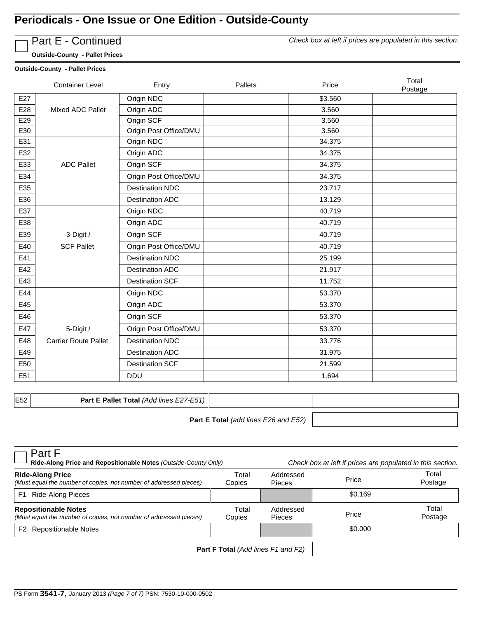

Part E - Continued

*Check box at left if prices are populated in this section.*

**Outside-County - Pallet Prices**

#### **Outside-County - Pallet Prices**

|     | <b>Container Level</b>      | Entry                  | Pallets | Price   | Total<br>Postage |
|-----|-----------------------------|------------------------|---------|---------|------------------|
| E27 |                             | Origin NDC             |         | \$3.560 |                  |
| E28 | Mixed ADC Pallet            | Origin ADC             |         | 3.560   |                  |
| E29 |                             | Origin SCF             |         | 3.560   |                  |
| E30 |                             | Origin Post Office/DMU |         | 3.560   |                  |
| E31 |                             | Origin NDC             |         | 34.375  |                  |
| E32 |                             | Origin ADC             |         | 34.375  |                  |
| E33 | <b>ADC Pallet</b>           | Origin SCF             |         | 34.375  |                  |
| E34 |                             | Origin Post Office/DMU |         | 34.375  |                  |
| E35 |                             | <b>Destination NDC</b> |         | 23.717  |                  |
| E36 |                             | <b>Destination ADC</b> |         | 13.129  |                  |
| E37 |                             | Origin NDC             |         | 40.719  |                  |
| E38 |                             | Origin ADC             |         | 40.719  |                  |
| E39 | 3-Digit /                   | Origin SCF             |         | 40.719  |                  |
| E40 | <b>SCF Pallet</b>           | Origin Post Office/DMU |         | 40.719  |                  |
| E41 |                             | <b>Destination NDC</b> |         | 25.199  |                  |
| E42 |                             | <b>Destination ADC</b> |         | 21.917  |                  |
| E43 |                             | <b>Destination SCF</b> |         | 11.752  |                  |
| E44 |                             | Origin NDC             |         | 53.370  |                  |
| E45 |                             | Origin ADC             |         | 53.370  |                  |
| E46 |                             | Origin SCF             |         | 53.370  |                  |
| E47 | 5-Digit /                   | Origin Post Office/DMU |         | 53.370  |                  |
| E48 | <b>Carrier Route Pallet</b> | <b>Destination NDC</b> |         | 33.776  |                  |
| E49 |                             | <b>Destination ADC</b> |         | 31.975  |                  |
| E50 |                             | <b>Destination SCF</b> |         | 21.599  |                  |
| E51 |                             | DDU                    |         | 1.694   |                  |

E52 **Part E Pallet Total** *(Add lines E27-E51)*

**Part E Total** *(add lines E26 and E52)*

| Part F<br>Ride-Along Price and Repositionable Notes (Outside-County Only)                                  |                             |                 | Check box at left if prices are populated in this section. |         |                  |
|------------------------------------------------------------------------------------------------------------|-----------------------------|-----------------|------------------------------------------------------------|---------|------------------|
| <b>Ride-Along Price</b><br>(Must equal the number of copies, not number of addressed pieces)               |                             | Total<br>Copies | Addressed<br><b>Pieces</b>                                 | Price   | Total<br>Postage |
| F1                                                                                                         | Ride-Along Pieces           |                 |                                                            | \$0.169 |                  |
| <b>Repositionable Notes</b><br>(Must equal the number of copies, not number of addressed pieces)<br>Copies |                             | Total           | Addressed<br>Pieces                                        | Price   | Total<br>Postage |
| $F2_1$                                                                                                     | <b>Repositionable Notes</b> |                 |                                                            | \$0.000 |                  |
| <b>Part F Total</b> (Add lines F1 and F2)                                                                  |                             |                 |                                                            |         |                  |